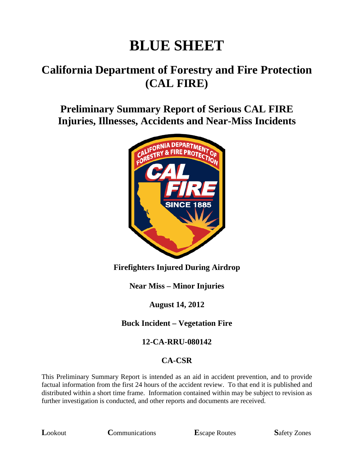# **BLUE SHEET**

# **California Department of Forestry and Fire Protection (CAL FIRE)**

# **Preliminary Summary Report of Serious CAL FIRE Injuries, Illnesses, Accidents and Near-Miss Incidents**



#### **Firefighters Injured During Airdrop**

**Near Miss – Minor Injuries**

#### **August 14, 2012**

#### **Buck Incident – Vegetation Fire**

#### **12-CA-RRU-080142**

#### **CA-CSR**

This Preliminary Summary Report is intended as an aid in accident prevention, and to provide factual information from the first 24 hours of the accident review. To that end it is published and distributed within a short time frame. Information contained within may be subject to revision as further investigation is conducted, and other reports and documents are received.

**L**ookout **C**ommunications **E**scape Routes **S**afety Zones